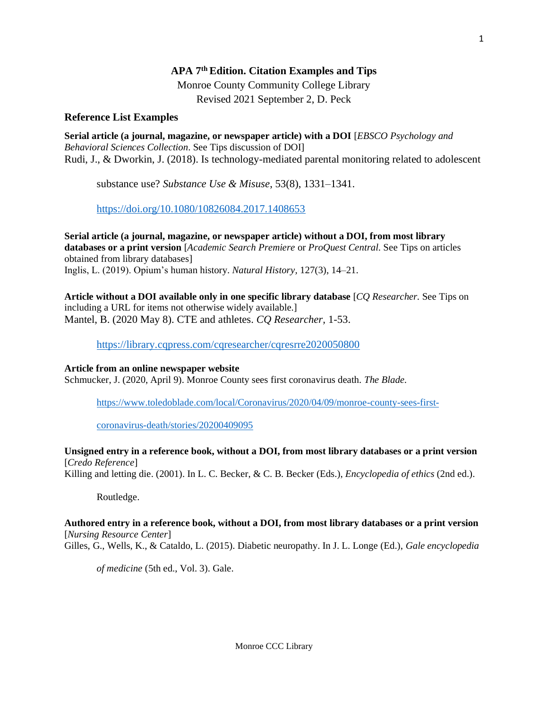# **APA 7th Edition. Citation Examples and Tips**

Monroe County Community College Library

Revised 2021 September 2, D. Peck

# **Reference List Examples**

**Serial article (a journal, magazine, or newspaper article) with a DOI** [*EBSCO Psychology and Behavioral Sciences Collection*. See Tips discussion of DOI] Rudi, J., & Dworkin, J. (2018). Is technology-mediated parental monitoring related to adolescent

substance use? *Substance Use & Misuse*, 53(8), 1331–1341.

[https://doi.org/10.1080/10826084.2017.1408653](https://doi-org.monroeccc.idm.oclc.org/10.1080/10826084.2017.1408653)

**Serial article (a journal, magazine, or newspaper article) without a DOI, from most library databases or a print version** [*Academic Search Premiere* or *ProQuest Central*. See Tips on articles obtained from library databases] Inglis, L. (2019). Opium's human history. *Natural History,* 127(3), 14–21.

**Article without a DOI available only in one specific library database** [*CQ Researcher.* See Tips on including a URL for items not otherwise widely available.] Mantel, B. (2020 May 8). CTE and athletes. *CQ Researcher,* 1-53.

<https://library.cqpress.com/cqresearcher/cqresrre2020050800>

## **Article from an online newspaper website**

Schmucker, J. (2020, April 9). Monroe County sees first coronavirus death. *The Blade.*

[https://www.toledoblade.com/local/Coronavirus/2020/04/09/monroe-county-sees-first-](https://www.toledoblade.com/local/Coronavirus/2020/04/09/monroe-county-sees-first-coronavirus-death/stories/20200409095)

[coronavirus-death/stories/20200409095](https://www.toledoblade.com/local/Coronavirus/2020/04/09/monroe-county-sees-first-coronavirus-death/stories/20200409095)

**Unsigned entry in a reference book, without a DOI, from most library databases or a print version** [*Credo Reference*]

Killing and letting die. (2001). In L. C. Becker, & C. B. Becker (Eds.), *Encyclopedia of ethics* (2nd ed.).

Routledge.

**Authored entry in a reference book, without a DOI, from most library databases or a print version** [*Nursing Resource Center*]

Gilles, G., Wells, K., & Cataldo, L. (2015). Diabetic neuropathy. In J. L. Longe (Ed.), *Gale encyclopedia* 

*of medicine* (5th ed., Vol. 3). Gale.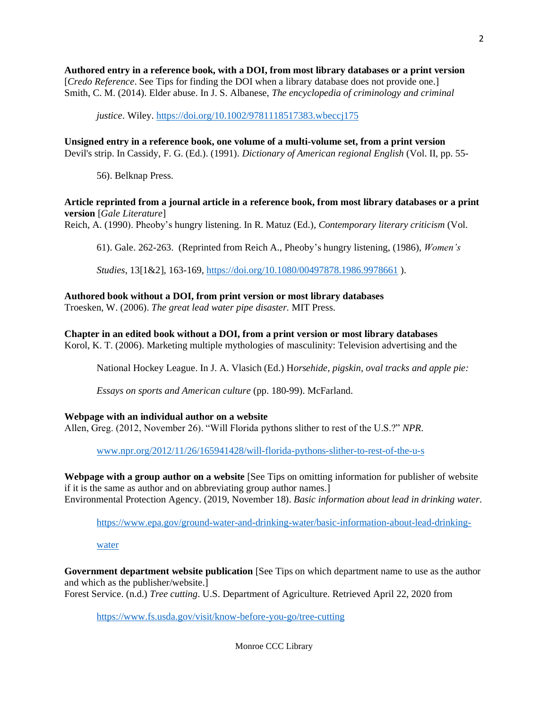**Authored entry in a reference book, with a DOI, from most library databases or a print version** [*Credo Reference*. See Tips for finding the DOI when a library database does not provide one.] Smith, C. M. (2014). Elder abuse. In J. S. Albanese, *The encyclopedia of criminology and criminal* 

*justice*. Wiley[. https://doi.org/10.1002/9781118517383.wbeccj175](https://doi.org/10.1002/9781118517383.wbeccj175)

**Unsigned entry in a reference book, one volume of a multi-volume set, from a print version** Devil's strip. In Cassidy, F. G. (Ed.). (1991). *Dictionary of American regional English* (Vol. II, pp. 55-

56). Belknap Press.

### **Article reprinted from a journal article in a reference book, from most library databases or a print version** [*Gale Literature*]

Reich, A. (1990). Pheoby's hungry listening. In R. Matuz (Ed.), *Contemporary literary criticism* (Vol.

61). Gale. 262-263. (Reprinted from Reich A., Pheoby's hungry listening, (1986), *Women's* 

*Studies*, 13[1&2], 163-169, <https://doi.org/10.1080/00497878.1986.9978661> ).

### **Authored book without a DOI, from print version or most library databases**

Troesken, W. (2006). *The great lead water pipe disaster.* MIT Press.

**Chapter in an edited book without a DOI, from a print version or most library databases** Korol, K. T. (2006). Marketing multiple mythologies of masculinity: Television advertising and the

National Hockey League. In J. A. Vlasich (Ed.) H*orsehide, pigskin, oval tracks and apple pie:* 

*Essays on sports and American culture* (pp. 180-99). McFarland.

### **Webpage with an individual author on a website**

Allen, Greg. (2012, November 26). "Will Florida pythons slither to rest of the U.S.?" *NPR*.

www.npr.org/2012/11/26/165941428/will-florida-pythons-slither-to-rest-of-the-u-s

**Webpage with a group author on a website** [See Tips on omitting information for publisher of website if it is the same as author and on abbreviating group author names.] Environmental Protection Agency. (2019, November 18). *Basic information about lead in drinking water*.

[https://www.epa.gov/ground-water-and-drinking-water/basic-information-about-lead-drinking-](https://www.epa.gov/ground-water-and-drinking-water/basic-information-about-lead-drinking-water)

[water](https://www.epa.gov/ground-water-and-drinking-water/basic-information-about-lead-drinking-water) 

**Government department website publication** [See Tips on which department name to use as the author and which as the publisher/website.] Forest Service. (n.d.) *Tree cutting*. U.S. Department of Agriculture. Retrieved April 22, 2020 from

<https://www.fs.usda.gov/visit/know-before-you-go/tree-cutting>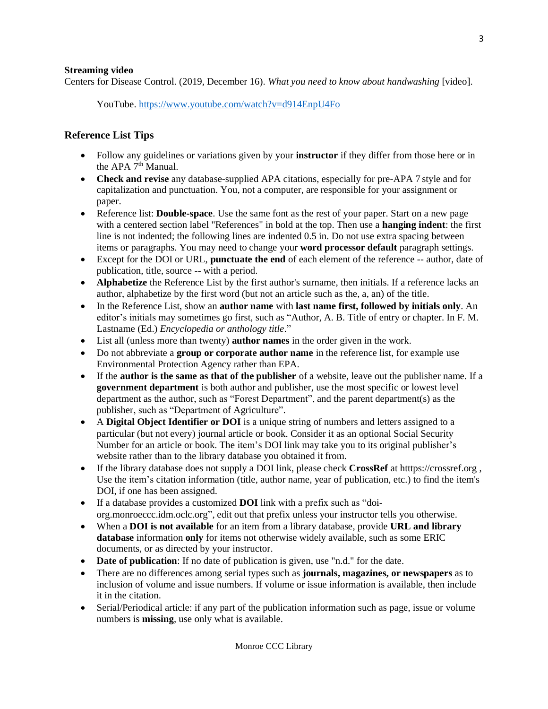### **Streaming video**

Centers for Disease Control. (2019, December 16). *What you need to know about handwashing* [video].

YouTube. <https://www.youtube.com/watch?v=d914EnpU4Fo>

## **Reference List Tips**

- Follow any guidelines or variations given by your **instructor** if they differ from those here or in the APA 7<sup>th</sup> Manual.
- **Check and revise** any database-supplied APA citations, especially for pre-APA 7 style and for capitalization and punctuation. You, not a computer, are responsible for your assignment or paper.
- Reference list: **Double-space**. Use the same font as the rest of your paper. Start on a new page with a centered section label "References" in bold at the top. Then use a **hanging indent**: the first line is not indented; the following lines are indented 0.5 in. Do not use extra spacing between items or paragraphs. You may need to change your **word processor default** paragraph settings.
- Except for the DOI or URL, **punctuate the end** of each element of the reference -- author, date of publication, title, source -- with a period.
- **Alphabetize** the Reference List by the first author's surname, then initials. If a reference lacks an author, alphabetize by the first word (but not an article such as the, a, an) of the title.
- In the Reference List, show an **author name** with **last name first, followed by initials only**. An editor's initials may sometimes go first, such as "Author, A. B. Title of entry or chapter. In F. M. Lastname (Ed.) *Encyclopedia or anthology title*."
- List all (unless more than twenty) **author names** in the order given in the work.
- Do not abbreviate a **group or corporate author name** in the reference list, for example use Environmental Protection Agency rather than EPA.
- If the **author is the same as that of the publisher** of a website, leave out the publisher name. If a **government department** is both author and publisher, use the most specific or lowest level department as the author, such as "Forest Department", and the parent department(s) as the publisher, such as "Department of Agriculture".
- A **Digital Object Identifier or DOI** is a unique string of numbers and letters assigned to a particular (but not every) journal article or book. Consider it as an optional Social Security Number for an article or book. The item's DOI link may take you to its original publisher's website rather than to the library database you obtained it from.
- If the library database does not supply a DOI link, please check **CrossRef** at htttps://crossref.org , Use the item's citation information (title, author name, year of publication, etc.) to find the item's DOI, if one has been assigned.
- If a database provides a customized **DOI** link with a prefix such as "doiorg.monroeccc.idm.oclc.org", edit out that prefix unless your instructor tells you otherwise.
- When a **DOI is not available** for an item from a library database, provide **URL and library database** information **only** for items not otherwise widely available, such as some ERIC documents, or as directed by your instructor.
- **Date of publication**: If no date of publication is given, use "n.d." for the date.
- There are no differences among serial types such as **journals, magazines, or newspapers** as to inclusion of volume and issue numbers. If volume or issue information is available, then include it in the citation.
- Serial/Periodical article: if any part of the publication information such as page, issue or volume numbers is **missing**, use only what is available.